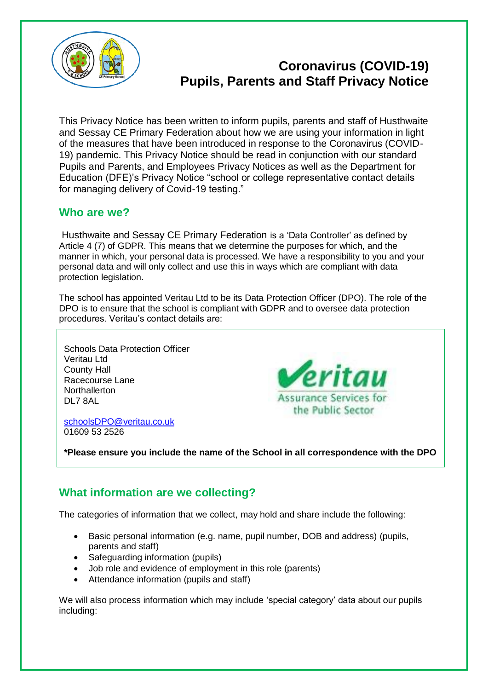

# **Coronavirus (COVID-19) Pupils, Parents and Staff Privacy Notice**

This Privacy Notice has been written to inform pupils, parents and staff of Husthwaite and Sessay CE Primary Federation about how we are using your information in light of the measures that have been introduced in response to the Coronavirus (COVID-19) pandemic. This Privacy Notice should be read in conjunction with our standard Pupils and Parents, and Employees Privacy Notices as well as the Department for Education (DFE)'s Privacy Notice "school or college representative contact details for managing delivery of Covid-19 testing."

#### **Who are we?**

Husthwaite and Sessay CE Primary Federation is a 'Data Controller' as defined by Article 4 (7) of GDPR. This means that we determine the purposes for which, and the manner in which, your personal data is processed. We have a responsibility to you and your personal data and will only collect and use this in ways which are compliant with data protection legislation.

The school has appointed Veritau Ltd to be its Data Protection Officer (DPO). The role of the DPO is to ensure that the school is compliant with GDPR and to oversee data protection procedures. Veritau's contact details are:

Schools Data Protection Officer Veritau Ltd County Hall Racecourse Lane **Northallerton** DL7 8AL

eritau **Assurance Services for** the Public Sector

[schoolsDPO@veritau.co.uk](mailto:schoolsDPO@veritau.co.uk) 01609 53 2526

**\*Please ensure you include the name of the School in all correspondence with the DPO** 

## **What information are we collecting?**

The categories of information that we collect, may hold and share include the following:

- Basic personal information (e.g. name, pupil number, DOB and address) (pupils, parents and staff)
- Safeguarding information (pupils)
- Job role and evidence of employment in this role (parents)
- Attendance information (pupils and staff)

We will also process information which may include 'special category' data about our pupils including: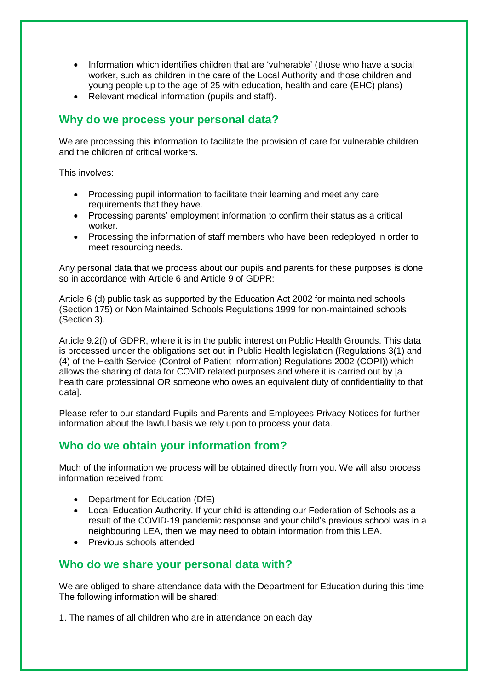- Information which identifies children that are 'vulnerable' (those who have a social worker, such as children in the care of the Local Authority and those children and young people up to the age of 25 with education, health and care (EHC) plans)
- Relevant medical information (pupils and staff).

#### **Why do we process your personal data?**

We are processing this information to facilitate the provision of care for vulnerable children and the children of critical workers.

This involves:

- Processing pupil information to facilitate their learning and meet any care requirements that they have.
- Processing parents' employment information to confirm their status as a critical worker.
- Processing the information of staff members who have been redeployed in order to meet resourcing needs.

Any personal data that we process about our pupils and parents for these purposes is done so in accordance with Article 6 and Article 9 of GDPR:

Article 6 (d) public task as supported by the Education Act 2002 for maintained schools (Section 175) or Non Maintained Schools Regulations 1999 for non-maintained schools (Section 3).

Article 9.2(i) of GDPR, where it is in the public interest on Public Health Grounds. This data is processed under the obligations set out in Public Health legislation (Regulations 3(1) and (4) of the Health Service (Control of Patient Information) Regulations 2002 (COPI)) which allows the sharing of data for COVID related purposes and where it is carried out by [a health care professional OR someone who owes an equivalent duty of confidentiality to that data].

Please refer to our standard Pupils and Parents and Employees Privacy Notices for further information about the lawful basis we rely upon to process your data.

# **Who do we obtain your information from?**

Much of the information we process will be obtained directly from you. We will also process information received from:

- Department for Education (DfE)
- Local Education Authority. If your child is attending our Federation of Schools as a result of the COVID-19 pandemic response and your child's previous school was in a neighbouring LEA, then we may need to obtain information from this LEA.
- Previous schools attended

#### **Who do we share your personal data with?**

We are obliged to share attendance data with the Department for Education during this time. The following information will be shared:

1. The names of all children who are in attendance on each day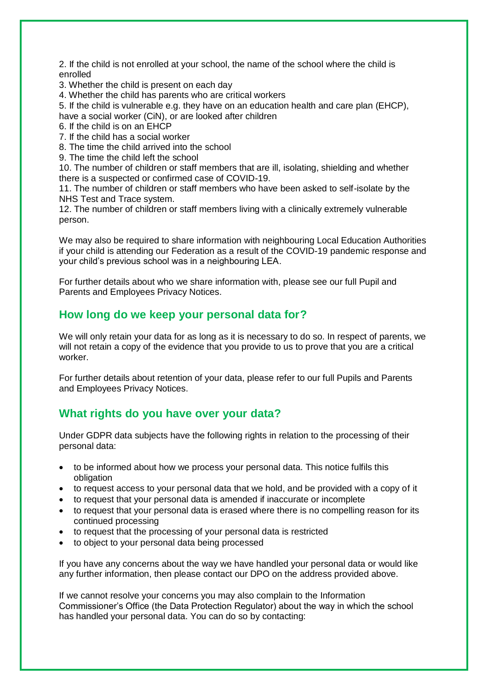2. If the child is not enrolled at your school, the name of the school where the child is enrolled

3. Whether the child is present on each day

4. Whether the child has parents who are critical workers

5. If the child is vulnerable e.g. they have on an education health and care plan (EHCP), have a social worker (CiN), or are looked after children

6. If the child is on an EHCP

7. If the child has a social worker

8. The time the child arrived into the school

9. The time the child left the school

10. The number of children or staff members that are ill, isolating, shielding and whether there is a suspected or confirmed case of COVID-19.

11. The number of children or staff members who have been asked to self-isolate by the NHS Test and Trace system.

12. The number of children or staff members living with a clinically extremely vulnerable person.

We may also be required to share information with neighbouring Local Education Authorities if your child is attending our Federation as a result of the COVID-19 pandemic response and your child's previous school was in a neighbouring LEA.

For further details about who we share information with, please see our full Pupil and Parents and Employees Privacy Notices.

#### **How long do we keep your personal data for?**

We will only retain your data for as long as it is necessary to do so. In respect of parents, we will not retain a copy of the evidence that you provide to us to prove that you are a critical worker.

For further details about retention of your data, please refer to our full Pupils and Parents and Employees Privacy Notices.

## **What rights do you have over your data?**

Under GDPR data subjects have the following rights in relation to the processing of their personal data:

- to be informed about how we process your personal data. This notice fulfils this obligation
- to request access to your personal data that we hold, and be provided with a copy of it
- to request that your personal data is amended if inaccurate or incomplete
- to request that your personal data is erased where there is no compelling reason for its continued processing
- to request that the processing of your personal data is restricted
- to object to your personal data being processed

If you have any concerns about the way we have handled your personal data or would like any further information, then please contact our DPO on the address provided above.

If we cannot resolve your concerns you may also complain to the Information Commissioner's Office (the Data Protection Regulator) about the way in which the school has handled your personal data. You can do so by contacting: